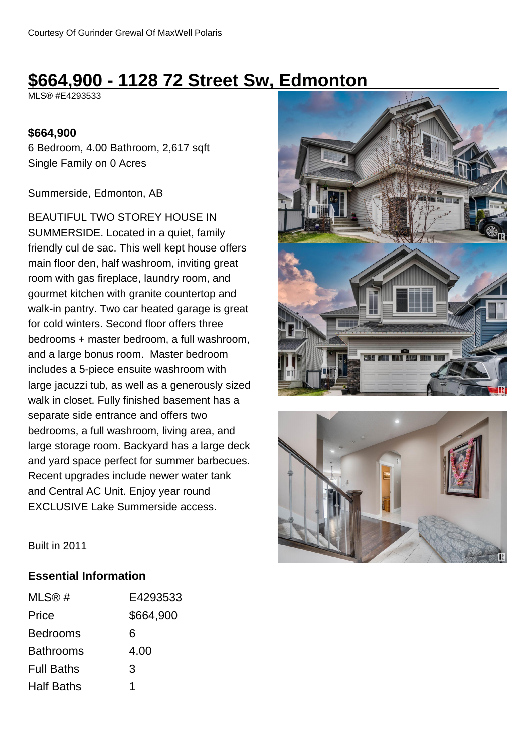# **\$664,900 - 1128 72 Street Sw, Edmonton**

MLS® #E4293533

### **\$664,900**

6 Bedroom, 4.00 Bathroom, 2,617 sqft Single Family on 0 Acres

#### Summerside, Edmonton, AB

BEAUTIFUL TWO STOREY HOUSE IN SUMMERSIDE. Located in a quiet, family friendly cul de sac. This well kept house offers main floor den, half washroom, inviting great room with gas fireplace, laundry room, and gourmet kitchen with granite countertop and walk-in pantry. Two car heated garage is great for cold winters. Second floor offers three bedrooms + master bedroom, a full washroom, and a large bonus room. Master bedroom includes a 5-piece ensuite washroom with large jacuzzi tub, as well as a generously sized walk in closet. Fully finished basement has a separate side entrance and offers two bedrooms, a full washroom, living area, and large storage room. Backyard has a large deck and yard space perfect for summer barbecues. Recent upgrades include newer water tank and Central AC Unit. Enjoy year round EXCLUSIVE Lake Summerside access.





Built in 2011

### **Essential Information**

| MLS@#             | E4293533  |
|-------------------|-----------|
| Price             | \$664,900 |
| <b>Bedrooms</b>   | 6         |
| <b>Bathrooms</b>  | 4.00      |
| <b>Full Baths</b> | 3         |
| <b>Half Baths</b> | 1         |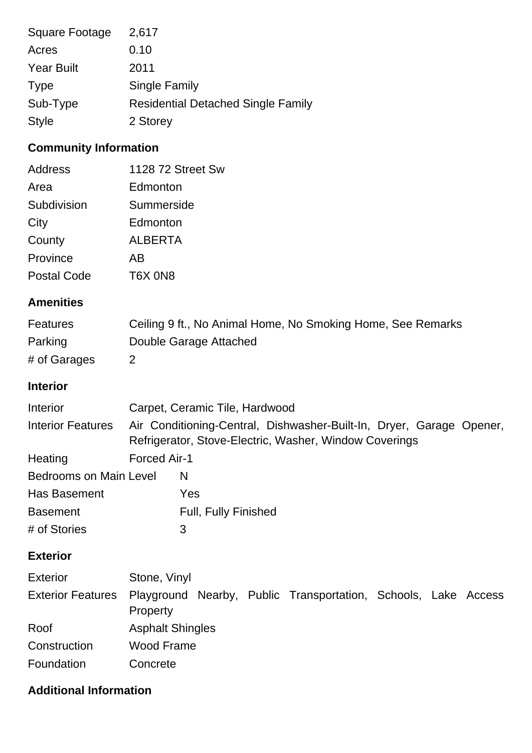| Square Footage    | 2,617                                     |
|-------------------|-------------------------------------------|
| Acres             | 0.10                                      |
| <b>Year Built</b> | 2011                                      |
| <b>Type</b>       | <b>Single Family</b>                      |
| Sub-Type          | <b>Residential Detached Single Family</b> |
| <b>Style</b>      | 2 Storey                                  |

## **Community Information**

| Address     | 1128 72 Street Sw |
|-------------|-------------------|
| Area        | Edmonton          |
| Subdivision | Summerside        |
| City        | Edmonton          |
| County      | <b>ALBERTA</b>    |
| Province    | AΒ                |
| Postal Code | T6X ON8           |

## **Amenities**

| <b>Features</b> | Ceiling 9 ft., No Animal Home, No Smoking Home, See Remarks |
|-----------------|-------------------------------------------------------------|
| Parking         | Double Garage Attached                                      |
| # of Garages    |                                                             |

### **Interior**

| Interior                      |              | Carpet, Ceramic Tile, Hardwood                                                                                                 |
|-------------------------------|--------------|--------------------------------------------------------------------------------------------------------------------------------|
| <b>Interior Features</b>      |              | Air Conditioning-Central, Dishwasher-Built-In, Dryer, Garage Opener,<br>Refrigerator, Stove-Electric, Washer, Window Coverings |
| Heating                       | Forced Air-1 |                                                                                                                                |
| <b>Bedrooms on Main Level</b> |              | N                                                                                                                              |
| Has Basement                  |              | Yes                                                                                                                            |
| <b>Basement</b>               |              | <b>Full, Fully Finished</b>                                                                                                    |
| # of Stories                  |              | 3                                                                                                                              |

## **Exterior**

| <b>Exterior</b> | Stone, Vinyl                                                                                 |
|-----------------|----------------------------------------------------------------------------------------------|
|                 | Exterior Features Playground Nearby, Public Transportation, Schools, Lake Access<br>Property |
| Roof            | <b>Asphalt Shingles</b>                                                                      |
| Construction    | Wood Frame                                                                                   |
| Foundation      | Concrete                                                                                     |

## **Additional Information**